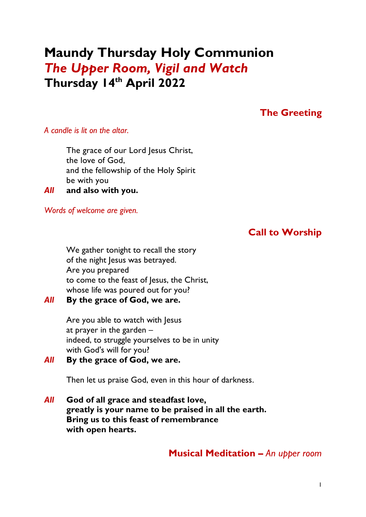# **Maundy Thursday Holy Communion** *The Upper Room, Vigil and Watch* **Thursday 14th April 2022**

## **The Greeting**

#### *A candle is lit on the altar.*

The grace of our Lord Jesus Christ, the love of God, and the fellowship of the Holy Spirit be with you

*All* **and also with you.**

*Words of welcome are given.*

## **Call to Worship**

We gather tonight to recall the story of the night Jesus was betrayed. Are you prepared to come to the feast of Jesus, the Christ, whose life was poured out for you?

#### *All* **By the grace of God, we are.**

Are you able to watch with Jesus at prayer in the garden – indeed, to struggle yourselves to be in unity with God's will for you?

#### *All* **By the grace of God, we are.**

Then let us praise God, even in this hour of darkness.

*All* **God of all grace and steadfast love, greatly is your name to be praised in all the earth. Bring us to this feast of remembrance with open hearts.**

### **Musical Meditation –** *An upper room*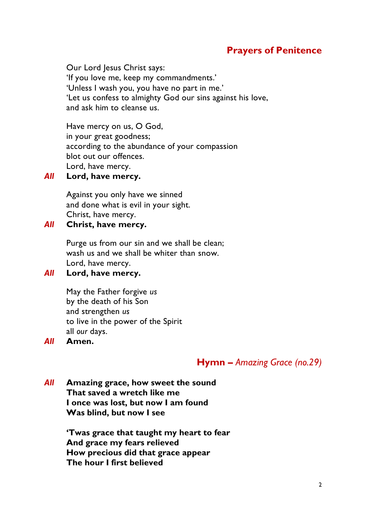## **Prayers of Penitence**

Our Lord Jesus Christ says: 'If you love me, keep my commandments.' 'Unless I wash you, you have no part in me.' 'Let us confess to almighty God our sins against his love, and ask him to cleanse us.

Have mercy on us, O God, in your great goodness; according to the abundance of your compassion blot out our offences. Lord, have mercy.

#### *All* **Lord, have mercy.**

Against you only have we sinned and done what is evil in your sight. Christ, have mercy.

#### *All* **Christ, have mercy.**

Purge us from our sin and we shall be clean; wash us and we shall be whiter than snow. Lord, have mercy.

#### *All* **Lord, have mercy.**

May the Father forgive *us* by the death of his Son and strengthen *us* to live in the power of the Spirit all *our* days.

*All* **Amen.**

### **Hymn –** *Amazing Grace (no.29)*

*All* **Amazing grace, how sweet the sound That saved a wretch like me I once was lost, but now I am found Was blind, but now I see**

> **'Twas grace that taught my heart to fear And grace my fears relieved How precious did that grace appear The hour I first believed**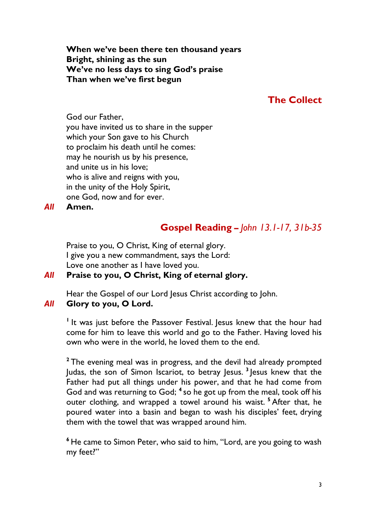**When we've been there ten thousand years Bright, shining as the sun We've no less days to sing God's praise Than when we've first begun**

### **The Collect**

God our Father, you have invited us to share in the supper which your Son gave to his Church to proclaim his death until he comes: may he nourish us by his presence, and unite us in his love; who is alive and reigns with you, in the unity of the Holy Spirit, one God, now and for ever.

*All* **Amen.**

## **Gospel Reading** *– John 13.1-17, 31b-35*

Praise to you, O Christ, King of eternal glory. I give you a new commandment, says the Lord: Love one another as I have loved you.

#### *All* **Praise to you, O Christ, King of eternal glory.**

Hear the Gospel of our Lord Jesus Christ according to John.

#### *All* **Glory to you, O Lord.**

<sup>1</sup> It was just before the Passover Festival. Jesus knew that the hour had come for him to leave this world and go to the Father. Having loved his own who were in the world, he loved them to the end.

**<sup>2</sup>** The evening meal was in progress, and the devil had already prompted Judas, the son of Simon Iscariot, to betray Jesus. **<sup>3</sup>** Jesus knew that the Father had put all things under his power, and that he had come from God and was returning to God; **<sup>4</sup>** so he got up from the meal, took off his outer clothing, and wrapped a towel around his waist. **<sup>5</sup>** After that, he poured water into a basin and began to wash his disciples' feet, drying them with the towel that was wrapped around him.

**<sup>6</sup>** He came to Simon Peter, who said to him, "Lord, are you going to wash my feet?"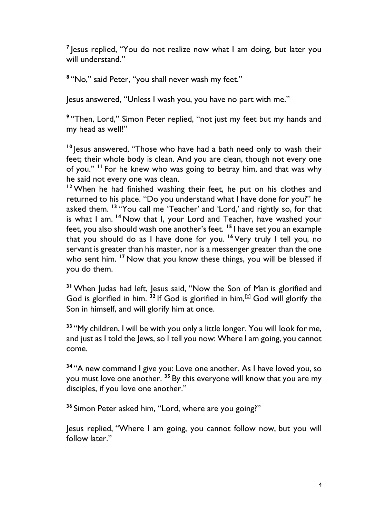<sup>7</sup> Jesus replied, "You do not realize now what I am doing, but later you will understand."

**8** "No," said Peter, "you shall never wash my feet."

Jesus answered, "Unless I wash you, you have no part with me."

**9** "Then, Lord," Simon Peter replied, "not just my feet but my hands and my head as well!"

**<sup>10</sup>** Jesus answered, "Those who have had a bath need only to wash their feet; their whole body is clean. And you are clean, though not every one of you." **<sup>11</sup>** For he knew who was going to betray him, and that was why he said not every one was clean.

<sup>12</sup> When he had finished washing their feet, he put on his clothes and returned to his place. "Do you understand what I have done for you?" he asked them. **<sup>13</sup>** "You call me 'Teacher' and 'Lord,' and rightly so, for that is what I am. **<sup>14</sup>** Now that I, your Lord and Teacher, have washed your feet, you also should wash one another's feet. **<sup>15</sup>** I have set you an example that you should do as I have done for you. **<sup>16</sup>** Very truly I tell you, no servant is greater than his master, nor is a messenger greater than the one who sent him. <sup>17</sup> Now that you know these things, you will be blessed if you do them.

**<sup>31</sup>** When Judas had left, Jesus said, "Now the Son of Man is glorified and God is glorified in him.  $32$  If God is glorified in him,  $\left[\sin \frac{1}{2}\right]$  God will glorify the Son in himself, and will glorify him at once.

**<sup>33</sup>** "My children, I will be with you only a little longer. You will look for me, and just as I told the Jews, so I tell you now: Where I am going, you cannot come.

**<sup>34</sup>** "A new command I give you: Love one another. As I have loved you, so you must love one another. **<sup>35</sup>** By this everyone will know that you are my disciples, if you love one another."

**<sup>36</sup>** Simon Peter asked him, "Lord, where are you going?"

Jesus replied, "Where I am going, you cannot follow now, but you will follow later."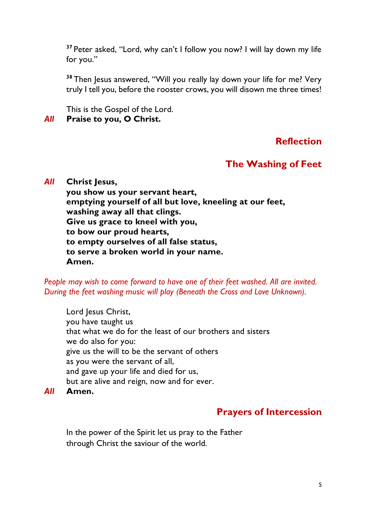**<sup>37</sup>** Peter asked, "Lord, why can't I follow you now? I will lay down my life for you."

**<sup>38</sup>** Then Jesus answered, "Will you really lay down your life for me? Very truly I tell you, before the rooster crows, you will disown me three times!

This is the Gospel of the Lord.

#### *All* **Praise to you, O Christ.**

## **Reflection**

## **The Washing of Feet**

#### *All* **Christ Jesus,**

**you show us your servant heart, emptying yourself of all but love, kneeling at our feet, washing away all that clings. Give us grace to kneel with you, to bow our proud hearts, to empty ourselves of all false status, to serve a broken world in your name. Amen.**

*People may wish to come forward to have one of their feet washed. All are invited. During the feet washing music will play (Beneath the Cross and Love Unknown).*

Lord Jesus Christ, you have taught us that what we do for the least of our brothers and sisters we do also for you: give us the will to be the servant of others as you were the servant of all, and gave up your life and died for us, but are alive and reign, now and for ever.

*All* **Amen.**

## **Prayers of Intercession**

In the power of the Spirit let us pray to the Father through Christ the saviour of the world.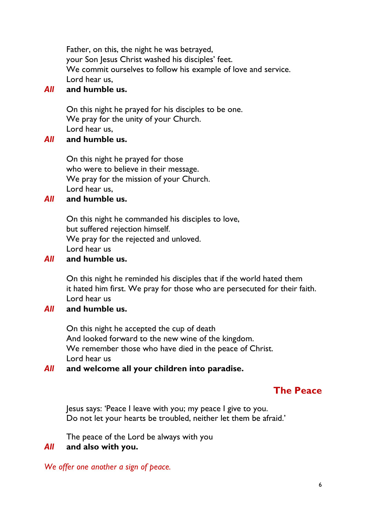Father, on this, the night he was betrayed, your Son Jesus Christ washed his disciples' feet. We commit ourselves to follow his example of love and service. Lord hear us,

#### *All* **and humble us.**

On this night he prayed for his disciples to be one. We pray for the unity of your Church. Lord hear us,

#### *All* **and humble us.**

On this night he prayed for those who were to believe in their message. We pray for the mission of your Church. Lord hear us,

#### *All* **and humble us.**

On this night he commanded his disciples to love, but suffered rejection himself. We pray for the rejected and unloved. Lord hear us

#### *All* **and humble us.**

On this night he reminded his disciples that if the world hated them it hated him first. We pray for those who are persecuted for their faith. Lord hear us

#### *All* **and humble us.**

On this night he accepted the cup of death And looked forward to the new wine of the kingdom. We remember those who have died in the peace of Christ. Lord hear us

#### *All* **and welcome all your children into paradise.**

### **The Peace**

Jesus says: 'Peace I leave with you; my peace I give to you. Do not let your hearts be troubled, neither let them be afraid.'

The peace of the Lord be always with you

#### *All* **and also with you.**

*We offer one another a sign of peace.*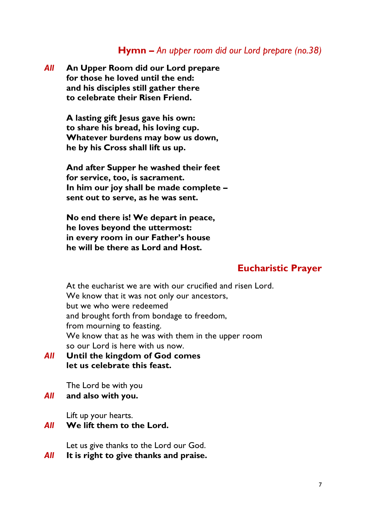### **Hymn –** *An upper room did our Lord prepare (no.38)*

*All* **An Upper Room did our Lord prepare for those he loved until the end: and his disciples still gather there to celebrate their Risen Friend.**

> **A lasting gift Jesus gave his own: to share his bread, his loving cup. Whatever burdens may bow us down, he by his Cross shall lift us up.**

**And after Supper he washed their feet for service, too, is sacrament. In him our joy shall be made complete – sent out to serve, as he was sent.**

**No end there is! We depart in peace, he loves beyond the uttermost: in every room in our Father's house he will be there as Lord and Host.**

#### **Eucharistic Prayer**

At the eucharist we are with our crucified and risen Lord. We know that it was not only our ancestors, but we who were redeemed and brought forth from bondage to freedom, from mourning to feasting. We know that as he was with them in the upper room so our Lord is here with us now.

*All* **Until the kingdom of God comes let us celebrate this feast.**

The Lord be with you *All* **and also with you.**

Lift up your hearts.

#### *All* **We lift them to the Lord.**

Let us give thanks to the Lord our God.

*All* **It is right to give thanks and praise.**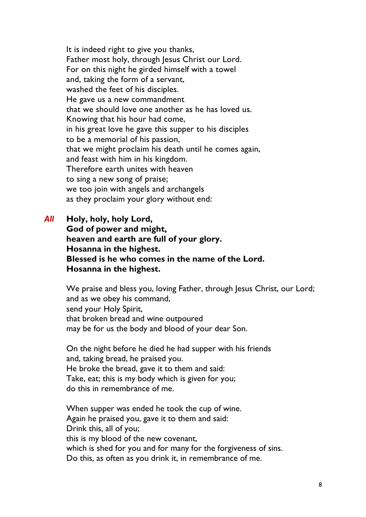It is indeed right to give you thanks, Father most holy, through Jesus Christ our Lord. For on this night he girded himself with a towel and, taking the form of a servant, washed the feet of his disciples. He gave us a new commandment that we should love one another as he has loved us. Knowing that his hour had come, in his great love he gave this supper to his disciples to be a memorial of his passion, that we might proclaim his death until he comes again, and feast with him in his kingdom. Therefore earth unites with heaven to sing a new song of praise; we too join with angels and archangels as they proclaim your glory without end:

*All* **Holy, holy, holy Lord, God of power and might, heaven and earth are full of your glory. Hosanna in the highest. Blessed is he who comes in the name of the Lord. Hosanna in the highest.**

> We praise and bless you, loving Father, through Jesus Christ, our Lord; and as we obey his command, send your Holy Spirit, that broken bread and wine outpoured may be for us the body and blood of your dear Son.

On the night before he died he had supper with his friends and, taking bread, he praised you. He broke the bread, gave it to them and said: Take, eat; this is my body which is given for you; do this in remembrance of me.

When supper was ended he took the cup of wine. Again he praised you, gave it to them and said: Drink this, all of you; this is my blood of the new covenant, which is shed for you and for many for the forgiveness of sins. Do this, as often as you drink it, in remembrance of me.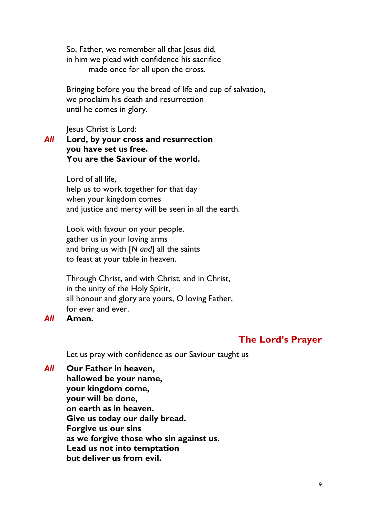So, Father, we remember all that Jesus did, in him we plead with confidence his sacrifice made once for all upon the cross.

Bringing before you the bread of life and cup of salvation, we proclaim his death and resurrection until he comes in glory.

Jesus Christ is Lord:

#### *All* **Lord, by your cross and resurrection you have set us free. You are the Saviour of the world.**

Lord of all life, help us to work together for that day when your kingdom comes and justice and mercy will be seen in all the earth.

Look with favour on your people, gather us in your loving arms and bring us with [*N and*] all the saints to feast at your table in heaven.

Through Christ, and with Christ, and in Christ, in the unity of the Holy Spirit, all honour and glory are yours, O loving Father, for ever and ever.

#### *All* **Amen.**

### **The Lord's Prayer**

Let us pray with confidence as our Saviour taught us

*All* **Our Father in heaven, hallowed be your name, your kingdom come, your will be done, on earth as in heaven. Give us today our daily bread. Forgive us our sins as we forgive those who sin against us. Lead us not into temptation but deliver us from evil.**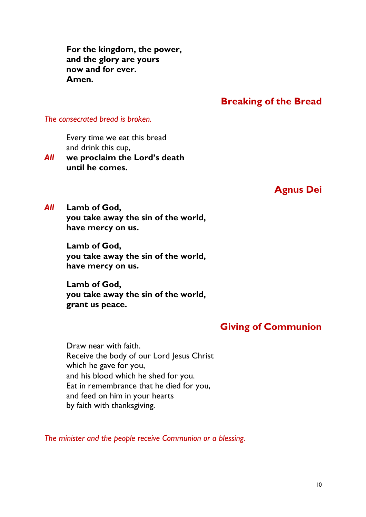**For the kingdom, the power, and the glory are yours now and for ever. Amen.**

#### **Breaking of the Bread**

*The consecrated bread is broken.*

Every time we eat this bread and drink this cup,

*All* **we proclaim the Lord's death until he comes.**

### **Agnus Dei**

*All* **Lamb of God, you take away the sin of the world, have mercy on us.**

> **Lamb of God, you take away the sin of the world, have mercy on us.**

> **Lamb of God, you take away the sin of the world, grant us peace.**

## **Giving of Communion**

Draw near with faith. Receive the body of our Lord Jesus Christ which he gave for you, and his blood which he shed for you. Eat in remembrance that he died for you, and feed on him in your hearts by faith with thanksgiving.

*The minister and the people receive Communion or a blessing.*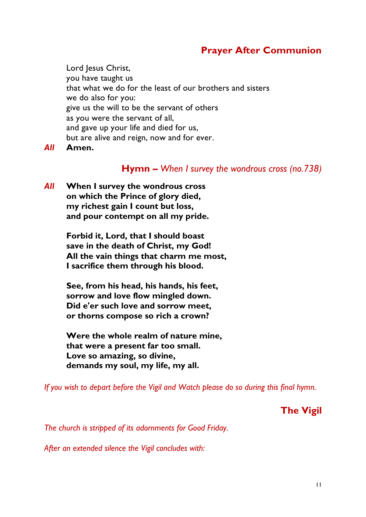## **Prayer After Communion**

Lord Jesus Christ, you have taught us that what we do for the least of our brothers and sisters we do also for you: give us the will to be the servant of others as you were the servant of all, and gave up your life and died for us, but are alive and reign, now and for ever.

*All* **Amen.**

#### **Hymn –** *When I survey the wondrous cross (no.738)*

*All* **When I survey the wondrous cross on which the Prince of glory died, my richest gain I count but loss, and pour contempt on all my pride.**

> **Forbid it, Lord, that I should boast save in the death of Christ, my God! All the vain things that charm me most, I sacrifice them through his blood.**

**See, from his head, his hands, his feet, sorrow and love flow mingled down. Did e'er such love and sorrow meet, or thorns compose so rich a crown?**

**Were the whole realm of nature mine, that were a present far too small. Love so amazing, so divine, demands my soul, my life, my all.**

*If you wish to depart before the Vigil and Watch please do so during this final hymn.*

**The Vigil**

*The church is stripped of its adornments for Good Friday.*

*After an extended silence the Vigil concludes with:*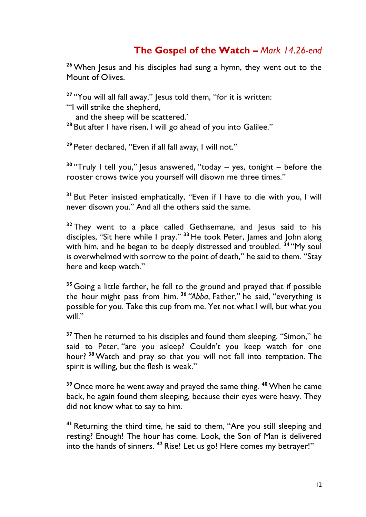## **The Gospel of the Watch –** *Mark 14.26-end*

**<sup>26</sup>** When Jesus and his disciples had sung a hymn, they went out to the Mount of Olives.

**<sup>27</sup>** "You will all fall away," Jesus told them, "for it is written: "'I will strike the shepherd,

and the sheep will be scattered.'

<sup>28</sup> But after I have risen, I will go ahead of you into Galilee."

**<sup>29</sup>** Peter declared, "Even if all fall away, I will not."

<sup>30</sup> "Truly I tell you," lesus answered, "today – yes, tonight – before the rooster crows twice you yourself will disown me three times."

**<sup>31</sup>** But Peter insisted emphatically, "Even if I have to die with you, I will never disown you." And all the others said the same.

**<sup>32</sup>** They went to a place called Gethsemane, and Jesus said to his disciples, "Sit here while I pray." **<sup>33</sup>** He took Peter, James and John along with him, and he began to be deeply distressed and troubled. **<sup>34</sup>** "My soul is overwhelmed with sorrow to the point of death," he said to them. "Stay here and keep watch."

**<sup>35</sup>** Going a little farther, he fell to the ground and prayed that if possible the hour might pass from him. **<sup>36</sup>** *"Abba*, Father," he said, "everything is possible for you. Take this cup from me. Yet not what I will, but what you will."

<sup>37</sup> Then he returned to his disciples and found them sleeping. "Simon," he said to Peter, "are you asleep? Couldn't you keep watch for one hour? **<sup>38</sup>** Watch and pray so that you will not fall into temptation. The spirit is willing, but the flesh is weak."

**<sup>39</sup>** Once more he went away and prayed the same thing. **<sup>40</sup>** When he came back, he again found them sleeping, because their eyes were heavy. They did not know what to say to him.

**<sup>41</sup>** Returning the third time, he said to them, "Are you still sleeping and resting? Enough! The hour has come. Look, the Son of Man is delivered into the hands of sinners. **<sup>42</sup>** Rise! Let us go! Here comes my betrayer!"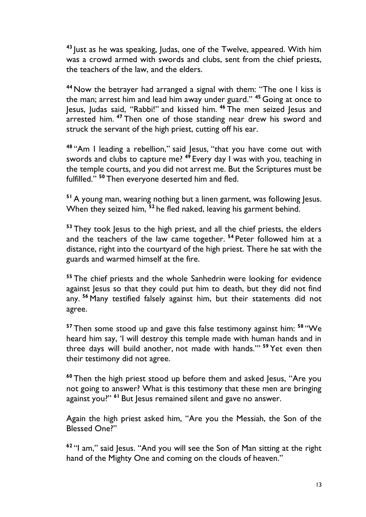**<sup>43</sup>** Just as he was speaking, Judas, one of the Twelve, appeared. With him was a crowd armed with swords and clubs, sent from the chief priests, the teachers of the law, and the elders.

**<sup>44</sup>** Now the betrayer had arranged a signal with them: "The one I kiss is the man; arrest him and lead him away under guard." **<sup>45</sup>** Going at once to Jesus, Judas said, "Rabbi!" and kissed him. **<sup>46</sup>** The men seized Jesus and arrested him. **<sup>47</sup>** Then one of those standing near drew his sword and struck the servant of the high priest, cutting off his ear.

**<sup>48</sup>** "Am I leading a rebellion," said Jesus, "that you have come out with swords and clubs to capture me? **<sup>49</sup>** Every day I was with you, teaching in the temple courts, and you did not arrest me. But the Scriptures must be fulfilled." **<sup>50</sup>** Then everyone deserted him and fled.

<sup>51</sup> A young man, wearing nothing but a linen garment, was following lesus. When they seized him, **<sup>52</sup>** he fled naked, leaving his garment behind.

**<sup>53</sup>** They took Jesus to the high priest, and all the chief priests, the elders and the teachers of the law came together. **<sup>54</sup>** Peter followed him at a distance, right into the courtyard of the high priest. There he sat with the guards and warmed himself at the fire.

**<sup>55</sup>** The chief priests and the whole Sanhedrin were looking for evidence against Jesus so that they could put him to death, but they did not find any. **<sup>56</sup>** Many testified falsely against him, but their statements did not agree.

**<sup>57</sup>** Then some stood up and gave this false testimony against him: **<sup>58</sup>** "We heard him say, 'I will destroy this temple made with human hands and in three days will build another, not made with hands.'" **<sup>59</sup>** Yet even then their testimony did not agree.

**<sup>60</sup>** Then the high priest stood up before them and asked Jesus, "Are you not going to answer? What is this testimony that these men are bringing against you?" **<sup>61</sup>** But Jesus remained silent and gave no answer.

Again the high priest asked him, "Are you the Messiah, the Son of the Blessed One?"

**<sup>62</sup>** "I am," said Jesus. "And you will see the Son of Man sitting at the right hand of the Mighty One and coming on the clouds of heaven."